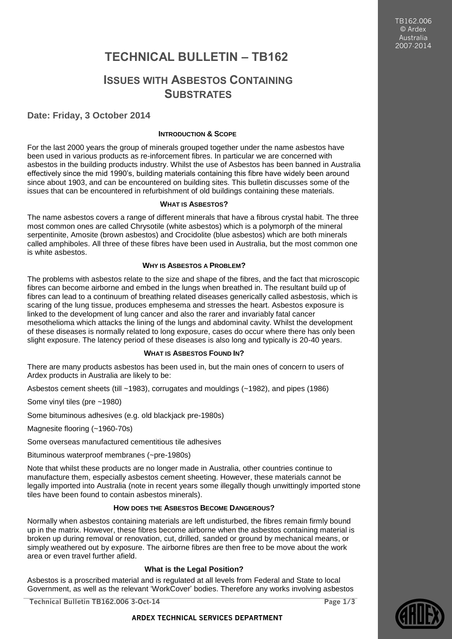TB162.006 © Ardex Australia 2007-2014

# **TECHNICAL BULLETIN – TB162**

## **ISSUES WITH ASBESTOS CONTAINING SUBSTRATES**

## **Date: Friday, 3 October 2014**

## **INTRODUCTION & SCOPE**

For the last 2000 years the group of minerals grouped together under the name asbestos have been used in various products as re-inforcement fibres. In particular we are concerned with asbestos in the building products industry. Whilst the use of Asbestos has been banned in Australia effectively since the mid 1990's, building materials containing this fibre have widely been around since about 1903, and can be encountered on building sites. This bulletin discusses some of the issues that can be encountered in refurbishment of old buildings containing these materials.

#### **WHAT IS ASBESTOS?**

The name asbestos covers a range of different minerals that have a fibrous crystal habit. The three most common ones are called Chrysotile (white asbestos) which is a polymorph of the mineral serpentinite, Amosite (brown asbestos) and Crocidolite (blue asbestos) which are both minerals called amphiboles. All three of these fibres have been used in Australia, but the most common one is white asbestos.

#### **WHY IS ASBESTOS A PROBLEM?**

The problems with asbestos relate to the size and shape of the fibres, and the fact that microscopic fibres can become airborne and embed in the lungs when breathed in. The resultant build up of fibres can lead to a continuum of breathing related diseases generically called asbestosis, which is scaring of the lung tissue, produces emphesema and stresses the heart. Asbestos exposure is linked to the development of lung cancer and also the rarer and invariably fatal cancer mesothelioma which attacks the lining of the lungs and abdominal cavity. Whilst the development of these diseases is normally related to long exposure, cases do occur where there has only been slight exposure. The latency period of these diseases is also long and typically is 20-40 years.

## **WHAT IS ASBESTOS FOUND IN?**

There are many products asbestos has been used in, but the main ones of concern to users of Ardex products in Australia are likely to be:

Asbestos cement sheets (till ~1983), corrugates and mouldings (~1982), and pipes (1986)

Some vinyl tiles (pre ~1980)

Some bituminous adhesives (e.g. old blackjack pre-1980s)

Magnesite flooring (~1960-70s)

Some overseas manufactured cementitious tile adhesives

Bituminous waterproof membranes (~pre-1980s)

Note that whilst these products are no longer made in Australia, other countries continue to manufacture them, especially asbestos cement sheeting. However, these materials cannot be legally imported into Australia (note in recent years some illegally though unwittingly imported stone tiles have been found to contain asbestos minerals).

## **HOW DOES THE ASBESTOS BECOME DANGEROUS?**

Normally when asbestos containing materials are left undisturbed, the fibres remain firmly bound up in the matrix. However, these fibres become airborne when the asbestos containing material is broken up during removal or renovation, cut, drilled, sanded or ground by mechanical means, or simply weathered out by exposure. The airborne fibres are then free to be move about the work area or even travel further afield.

## **What is the Legal Position?**

Asbestos is a proscribed material and is regulated at all levels from Federal and State to local Government, as well as the relevant 'WorkCover' bodies. Therefore any works involving asbestos

**Technical Bulletin TB162.006 3-Oct-14 Page 1/3**

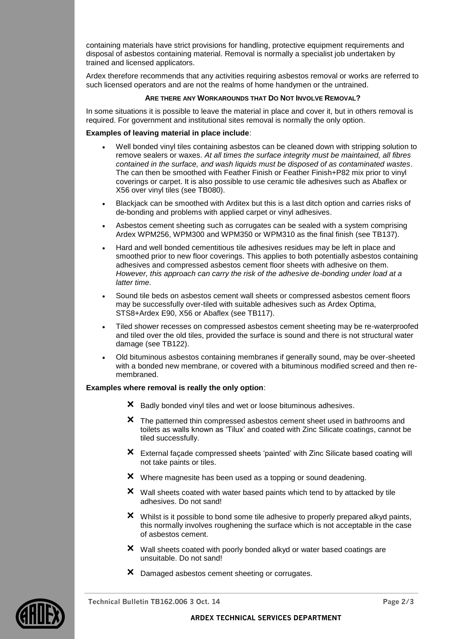containing materials have strict provisions for handling, protective equipment requirements and disposal of asbestos containing material. Removal is normally a specialist job undertaken by trained and licensed applicators.

Ardex therefore recommends that any activities requiring asbestos removal or works are referred to such licensed operators and are not the realms of home handymen or the untrained.

#### **ARE THERE ANY WORKAROUNDS THAT DO NOT INVOLVE REMOVAL?**

In some situations it is possible to leave the material in place and cover it, but in others removal is required. For government and institutional sites removal is normally the only option.

## **Examples of leaving material in place include**:

- Well bonded vinyl tiles containing asbestos can be cleaned down with stripping solution to remove sealers or waxes. *At all times the surface integrity must be maintained, all fibres contained in the surface, and wash liquids must be disposed of as contaminated wastes*. The can then be smoothed with Feather Finish or Feather Finish+P82 mix prior to vinyl coverings or carpet. It is also possible to use ceramic tile adhesives such as Abaflex or X56 over vinyl tiles (see TB080).
- Blackjack can be smoothed with Arditex but this is a last ditch option and carries risks of de-bonding and problems with applied carpet or vinyl adhesives.
- Asbestos cement sheeting such as corrugates can be sealed with a system comprising Ardex WPM256, WPM300 and WPM350 or WPM310 as the final finish (see TB137).
- Hard and well bonded cementitious tile adhesives residues may be left in place and smoothed prior to new floor coverings. This applies to both potentially asbestos containing adhesives and compressed asbestos cement floor sheets with adhesive on them. *However, this approach can carry the risk of the adhesive de-bonding under load at a latter time*.
- Sound tile beds on asbestos cement wall sheets or compressed asbestos cement floors may be successfully over-tiled with suitable adhesives such as Ardex Optima, STS8+Ardex E90, X56 or Abaflex (see TB117).
- Tiled shower recesses on compressed asbestos cement sheeting may be re-waterproofed and tiled over the old tiles, provided the surface is sound and there is not structural water damage (see TB122).
- Old bituminous asbestos containing membranes if generally sound, may be over-sheeted with a bonded new membrane, or covered with a bituminous modified screed and then remembraned.

#### **Examples where removal is really the only option**:

- **×** Badly bonded vinyl tiles and wet or loose bituminous adhesives.
- **×** The patterned thin compressed asbestos cement sheet used in bathrooms and toilets as walls known as 'Tilux' and coated with Zinc Silicate coatings, cannot be tiled successfully.
- **×** External façade compressed sheets 'painted' with Zinc Silicate based coating will not take paints or tiles.
- **×** Where magnesite has been used as a topping or sound deadening.
- **×** Wall sheets coated with water based paints which tend to by attacked by tile adhesives. Do not sand!
- **×** Whilst is it possible to bond some tile adhesive to properly prepared alkyd paints, this normally involves roughening the surface which is not acceptable in the case of asbestos cement.
- **×** Wall sheets coated with poorly bonded alkyd or water based coatings are unsuitable. Do not sand!
- **×** Damaged asbestos cement sheeting or corrugates.



**Technical Bulletin TB162.006 3 Oct. 14 Page 2/3**